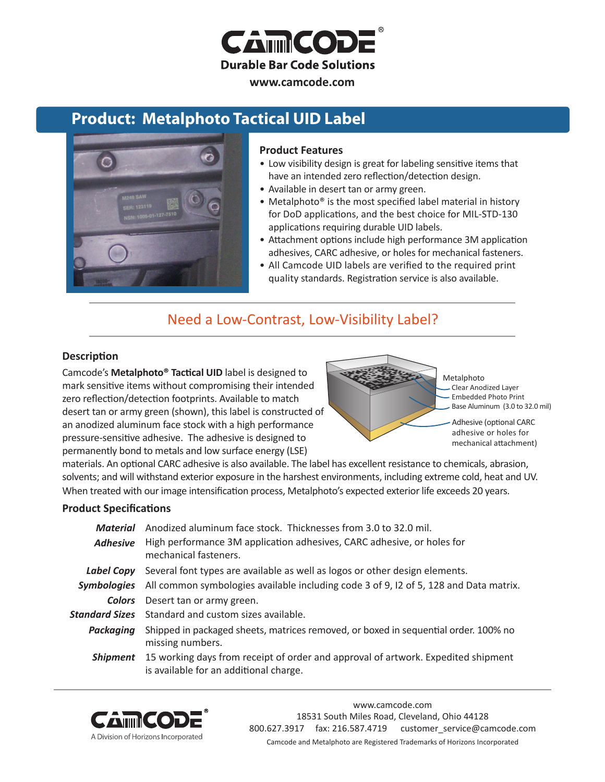

#### **www.camcode.com**

## **Product: Metalphoto Tactical UID Label**



#### **Product Features**

- Low visibility design is great for labeling sensitive items that have an intended zero reflection/detection design.
- Available in desert tan or army green.
- Metalphoto<sup>®</sup> is the most specified label material in history for DoD applications, and the best choice for [MIL-STD-130](http://www.camcode.com/mil-std-130.html) applications requiring durable UID labels.
- Attachment options include high performance 3M application adhesives, CARC adhesive, or holes for mechanical fasteners.
- All Camcode [UID labels](http://www.camcode.com/uid-labels.html) are verified to the required print quality standards. Registration service is also available.

## Need a Low-Contrast, Low-Visibility Label?

#### **Description**

Camcode's **Metalphoto® Tactical UID** label is designed to mark sensitive items without compromising their intended zero reflection/detection footprints. Available to match desert tan or army green (shown), this label is constructed of an anodized aluminum face stock with a high performance pressure-sensitive adhesive. The adhesive is designed to permanently bond to metals and low surface energy (LSE)

Metalphoto Clear Anodized Layer Embedded Photo Print Base Aluminum (3.0 to 32.0 mil)

Adhesive (optional CARC adhesive or holes for mechanical attachment)

materials. An optional CARC adhesive is also available. The label has excellent resistance to chemicals, abrasion, solvents; and will withstand exterior exposure in the harshest environments, including extreme cold, heat and UV. When treated with our image intensification process, Metalphoto's expected exterior life exceeds 20 years.

#### **Product Specifications**

| Material           | Anodized aluminum face stock. Thicknesses from 3.0 to 32.0 mil.                                                             |  |  |
|--------------------|-----------------------------------------------------------------------------------------------------------------------------|--|--|
| <b>Adhesive</b>    | High performance 3M application adhesives, CARC adhesive, or holes for<br>mechanical fasteners.                             |  |  |
| Label Copy         | Several font types are available as well as logos or other design elements.                                                 |  |  |
| <b>Symbologies</b> | All common symbologies available including code 3 of 9, 12 of 5, 128 and Data matrix.                                       |  |  |
| Colors             | Desert tan or army green.                                                                                                   |  |  |
|                    | <b>Standard Sizes</b> Standard and custom sizes available.                                                                  |  |  |
| Packaging          | Shipped in packaged sheets, matrices removed, or boxed in sequential order. 100% no<br>missing numbers.                     |  |  |
| Shipment           | 15 working days from receipt of order and approval of artwork. Expedited shipment<br>is available for an additional charge. |  |  |